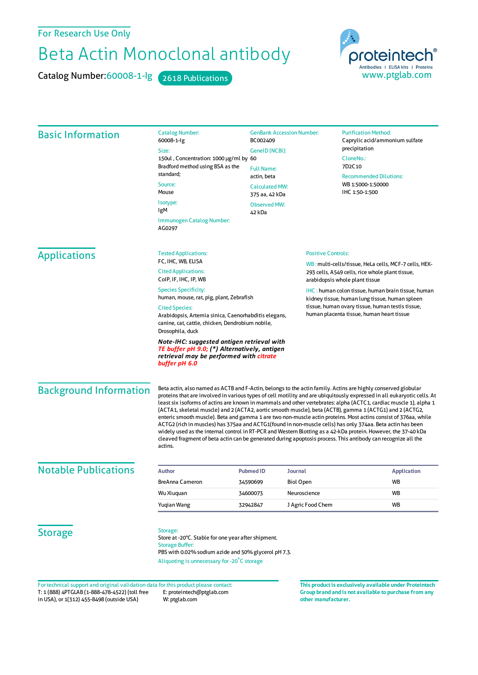## For Research Use Only

## Beta Actin Monoclonal antibody

Catalog Number:60008-1-lg 2618 Publications



| <b>Basic Information</b>      | <b>Catalog Number:</b><br>60008-1-lg<br>Size:<br>150ul, Concentration: 1000 µg/ml by 60                                                                                                                                                                                                                                                                                                                                                                                                                                                                                                                                                                                                                                                                                                                                                                                                                                                                  | BC002409<br>GenelD (NCBI):              | <b>GenBank Accession Number:</b> | <b>Purification Method:</b><br>Caprylic acid/ammonium sulfate<br>precipitation<br>CloneNo.:<br>7D <sub>2</sub> C <sub>10</sub><br><b>Recommended Dilutions:</b><br>WB 1:5000-1:50000<br>IHC 1:50-1:500        |  |
|-------------------------------|----------------------------------------------------------------------------------------------------------------------------------------------------------------------------------------------------------------------------------------------------------------------------------------------------------------------------------------------------------------------------------------------------------------------------------------------------------------------------------------------------------------------------------------------------------------------------------------------------------------------------------------------------------------------------------------------------------------------------------------------------------------------------------------------------------------------------------------------------------------------------------------------------------------------------------------------------------|-----------------------------------------|----------------------------------|---------------------------------------------------------------------------------------------------------------------------------------------------------------------------------------------------------------|--|
|                               | Bradford method using BSA as the<br>standard;<br>Source:<br>Mouse                                                                                                                                                                                                                                                                                                                                                                                                                                                                                                                                                                                                                                                                                                                                                                                                                                                                                        | <b>Full Name:</b><br>actin, beta        |                                  |                                                                                                                                                                                                               |  |
|                               |                                                                                                                                                                                                                                                                                                                                                                                                                                                                                                                                                                                                                                                                                                                                                                                                                                                                                                                                                          | <b>Calculated MW:</b><br>375 aa, 42 kDa |                                  |                                                                                                                                                                                                               |  |
|                               | Isotype:<br>IgM                                                                                                                                                                                                                                                                                                                                                                                                                                                                                                                                                                                                                                                                                                                                                                                                                                                                                                                                          | <b>Observed MW:</b><br>42 kDa           |                                  |                                                                                                                                                                                                               |  |
|                               | Immunogen Catalog Number:<br>AG0297                                                                                                                                                                                                                                                                                                                                                                                                                                                                                                                                                                                                                                                                                                                                                                                                                                                                                                                      |                                         |                                  |                                                                                                                                                                                                               |  |
| <b>Applications</b>           | <b>Tested Applications:</b><br>FC, IHC, WB, ELISA                                                                                                                                                                                                                                                                                                                                                                                                                                                                                                                                                                                                                                                                                                                                                                                                                                                                                                        |                                         |                                  | <b>Positive Controls:</b><br>WB: multi-cells/tissue, HeLa cells, MCF-7 cells, HEK-<br>293 cells, A549 cells, rice whole plant tissue,<br>arabidopsis whole plant tissue                                       |  |
|                               | <b>Cited Applications:</b><br>ColP, IF, IHC, IP, WB                                                                                                                                                                                                                                                                                                                                                                                                                                                                                                                                                                                                                                                                                                                                                                                                                                                                                                      |                                         |                                  |                                                                                                                                                                                                               |  |
|                               | <b>Species Specificity:</b><br>human, mouse, rat, pig, plant, Zebrafish                                                                                                                                                                                                                                                                                                                                                                                                                                                                                                                                                                                                                                                                                                                                                                                                                                                                                  |                                         |                                  | <b>IHC</b> : human colon tissue, human brain tissue, human<br>kidney tissue, human lung tissue, human spleen<br>tissue, human ovary tissue, human testis tissue,<br>human placenta tissue, human heart tissue |  |
|                               | <b>Cited Species:</b><br>Arabidopsis, Artemia sinica, Caenorhabditis elegans,<br>canine, cat, cattle, chicken, Dendrobium nobile,<br>Drosophila, duck                                                                                                                                                                                                                                                                                                                                                                                                                                                                                                                                                                                                                                                                                                                                                                                                    |                                         |                                  |                                                                                                                                                                                                               |  |
|                               | Note-IHC: suggested antigen retrieval with<br>TE buffer pH 9.0; (*) Alternatively, antigen<br>retrieval may be performed with citrate<br>buffer pH 6.0                                                                                                                                                                                                                                                                                                                                                                                                                                                                                                                                                                                                                                                                                                                                                                                                   |                                         |                                  |                                                                                                                                                                                                               |  |
| <b>Background Information</b> | Beta actin, also named as ACTB and F-Actin, belongs to the actin family. Actins are highly conserved globular<br>proteins that are involved in various types of cell motility and are ubiquitously expressed in all eukaryotic cells. At<br>least six isoforms of actins are known in mammals and other vertebrates: alpha (ACTC1, cardiac muscle 1), alpha 1<br>(ACTA1, skeletal muscle) and 2 (ACTA2, aortic smooth muscle), beta (ACTB), gamma 1 (ACTG1) and 2 (ACTG2,<br>enteric smooth muscle). Beta and gamma 1 are two non-muscle actin proteins. Most actins consist of 376aa, while<br>ACTG2 (rich in muscles) has 375aa and ACTG1(found in non-muscle cells) has only 374aa. Beta actin has been<br>widely used as the internal control in RT-PCR and Western Blotting as a 42-kDa protein. However, the 37-40 kDa<br>cleaved fragment of beta actin can be generated during apoptosis process. This antibody can recognize all the<br>actins. |                                         |                                  |                                                                                                                                                                                                               |  |
| <b>Notable Publications</b>   | <b>Author</b>                                                                                                                                                                                                                                                                                                                                                                                                                                                                                                                                                                                                                                                                                                                                                                                                                                                                                                                                            | <b>Pubmed ID</b>                        | Journal                          | <b>Application</b>                                                                                                                                                                                            |  |
|                               | BreAnna Cameron                                                                                                                                                                                                                                                                                                                                                                                                                                                                                                                                                                                                                                                                                                                                                                                                                                                                                                                                          | 34590699                                | <b>Biol Open</b>                 | WB                                                                                                                                                                                                            |  |
|                               | Wu Xiuquan                                                                                                                                                                                                                                                                                                                                                                                                                                                                                                                                                                                                                                                                                                                                                                                                                                                                                                                                               | 34600073                                | Neuroscience                     | WB                                                                                                                                                                                                            |  |
|                               | Yugian Wang                                                                                                                                                                                                                                                                                                                                                                                                                                                                                                                                                                                                                                                                                                                                                                                                                                                                                                                                              | 32942847                                | J Agric Food Chem                | WB                                                                                                                                                                                                            |  |
| <b>Storage</b>                | Storage:<br>Store at -20°C. Stable for one year after shipment.<br><b>Storage Buffer:</b><br>PBS with 0.02% sodium azide and 50% glycerol pH 7.3.<br>Aliquoting is unnecessary for -20°C storage                                                                                                                                                                                                                                                                                                                                                                                                                                                                                                                                                                                                                                                                                                                                                         |                                         |                                  |                                                                                                                                                                                                               |  |

T: 1 (888) 4PTGLAB (1-888-478-4522) (toll free in USA), or 1(312) 455-8498 (outside USA) E: proteintech@ptglab.com W: ptglab.com Fortechnical support and original validation data forthis product please contact: **This productis exclusively available under Proteintech**

**Group brand and is not available to purchase from any other manufacturer.**